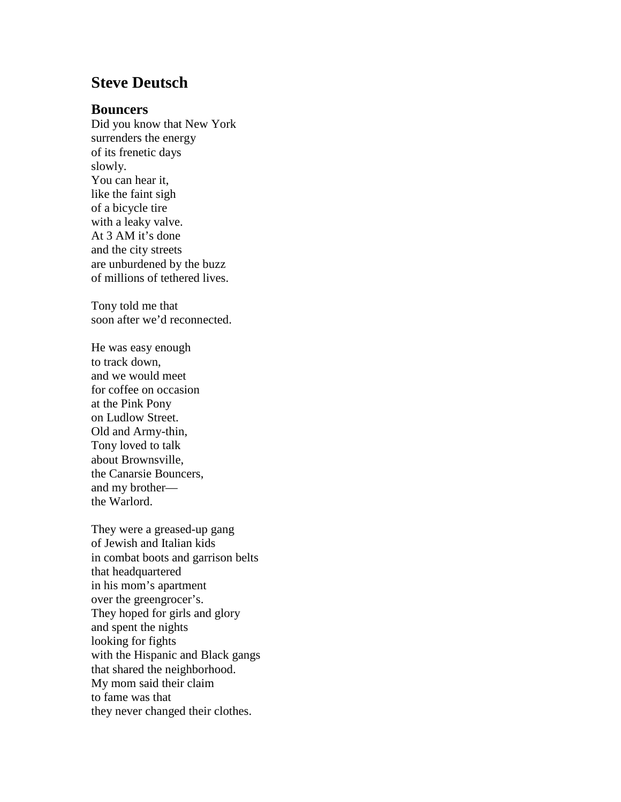## **Steve Deutsch**

## **Bouncers**

Did you know that New York surrenders the energy of its frenetic days slowly. You can hear it, like the faint sigh of a bicycle tire with a leaky valve. At 3 AM it's done and the city streets are unburdened by the buzz of millions of tethered lives.

Tony told me that soon after we'd reconnected.

He was easy enough to track down, and we would meet for coffee on occasion at the Pink Pony on Ludlow Street. Old and Army-thin, Tony loved to talk about Brownsville, the Canarsie Bouncers, and my brother the Warlord.

They were a greased-up gang of Jewish and Italian kids in combat boots and garrison belts that headquartered in his mom's apartment over the greengrocer's. They hoped for girls and glory and spent the nights looking for fights with the Hispanic and Black gangs that shared the neighborhood. My mom said their claim to fame was that they never changed their clothes.